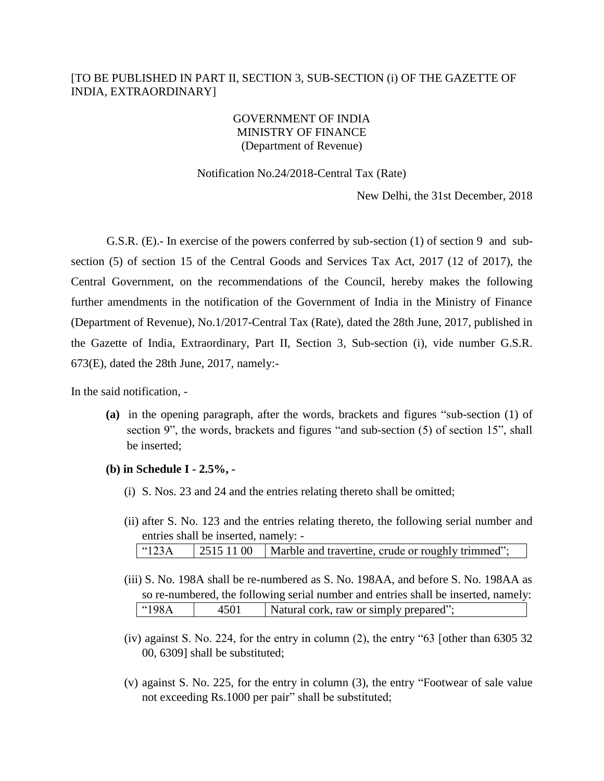# [TO BE PUBLISHED IN PART II, SECTION 3, SUB-SECTION (i) OF THE GAZETTE OF INDIA, EXTRAORDINARY]

## GOVERNMENT OF INDIA MINISTRY OF FINANCE (Department of Revenue)

#### Notification No.24/2018-Central Tax (Rate)

New Delhi, the 31st December, 2018

G.S.R. (E).- In exercise of the powers conferred by sub-section (1) of section 9 and subsection (5) of section 15 of the Central Goods and Services Tax Act, 2017 (12 of 2017), the Central Government, on the recommendations of the Council, hereby makes the following further amendments in the notification of the Government of India in the Ministry of Finance (Department of Revenue), No.1/2017-Central Tax (Rate), dated the 28th June, 2017, published in the Gazette of India, Extraordinary, Part II, Section 3, Sub-section (i), vide number G.S.R. 673(E), dated the 28th June, 2017, namely:-

In the said notification, -

- **(a)** in the opening paragraph, after the words, brackets and figures "sub-section (1) of section 9", the words, brackets and figures "and sub-section (5) of section 15", shall be inserted;
- **(b) in Schedule I - 2.5%, -**
	- (i) S. Nos. 23 and 24 and the entries relating thereto shall be omitted;
	- (ii) after S. No. 123 and the entries relating thereto, the following serial number and entries shall be inserted, namely: -

| "123A" |  | $\mid$ 2515 11 00 $\mid$ Marble and travertine, crude or roughly trimmed"; |
|--------|--|----------------------------------------------------------------------------|
|        |  |                                                                            |

- (iii) S. No. 198A shall be re-numbered as S. No. 198AA, and before S. No. 198AA as so re-numbered, the following serial number and entries shall be inserted, namely: "198A | 4501 | Natural cork, raw or simply prepared";
- (iv) against S. No. 224, for the entry in column (2), the entry "63 [other than 6305 32 00, 6309] shall be substituted;
- (v) against S. No. 225, for the entry in column (3), the entry "Footwear of sale value not exceeding Rs.1000 per pair" shall be substituted;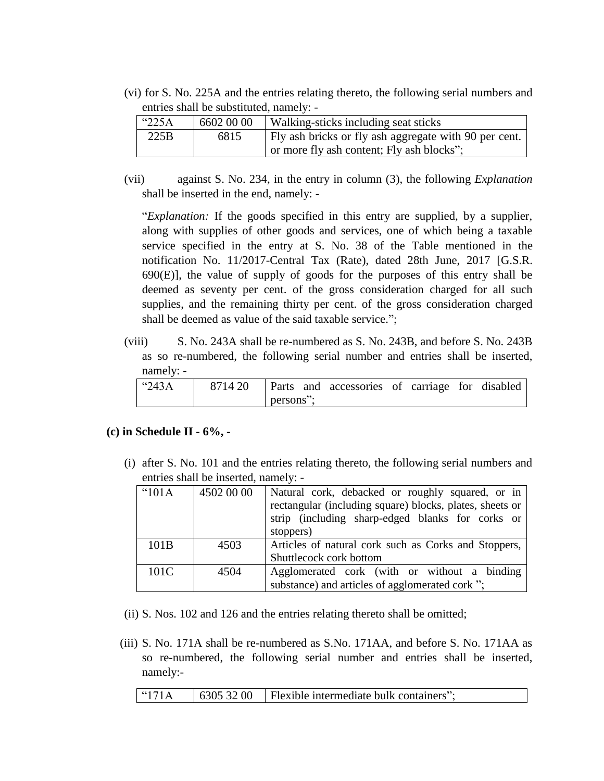(vi) for S. No. 225A and the entries relating thereto, the following serial numbers and entries shall be substituted, namely: -

| "225A" | 6602 00 00 | Walking-sticks including seat sticks                    |
|--------|------------|---------------------------------------------------------|
| 225B   | 6815       | I Fly ash bricks or fly ash aggregate with 90 per cent. |
|        |            | or more fly ash content; Fly ash blocks";               |

(vii) against S. No. 234, in the entry in column (3), the following *Explanation* shall be inserted in the end, namely: -

"*Explanation:* If the goods specified in this entry are supplied, by a supplier, along with supplies of other goods and services, one of which being a taxable service specified in the entry at S. No. 38 of the Table mentioned in the notification No. 11/2017-Central Tax (Rate), dated 28th June, 2017 [G.S.R.  $690(E)$ ], the value of supply of goods for the purposes of this entry shall be deemed as seventy per cent. of the gross consideration charged for all such supplies, and the remaining thirty per cent. of the gross consideration charged shall be deemed as value of the said taxable service.";

(viii) S. No. 243A shall be re-numbered as S. No. 243B, and before S. No. 243B as so re-numbered, the following serial number and entries shall be inserted, namely: -

| $\frac{143A}{243A}$ |           | 8714 20   Parts and accessories of carriage for disabled |  |  |
|---------------------|-----------|----------------------------------------------------------|--|--|
|                     | persons"; |                                                          |  |  |

## **(c) in Schedule II - 6%, -**

(i) after S. No. 101 and the entries relating thereto, the following serial numbers and entries shall be inserted, namely: -

| " $101A$ | 4502 00 00 | Natural cork, debacked or roughly squared, or in<br>rectangular (including square) blocks, plates, sheets or<br>strip (including sharp-edged blanks for corks or<br>stoppers) |
|----------|------------|-------------------------------------------------------------------------------------------------------------------------------------------------------------------------------|
| 101B     | 4503       | Articles of natural cork such as Corks and Stoppers,                                                                                                                          |
|          |            | Shuttlecock cork bottom                                                                                                                                                       |
| 101C     | 4504       | Agglomerated cork (with or without a binding                                                                                                                                  |
|          |            | substance) and articles of agglomerated cork ";                                                                                                                               |

- (ii) S. Nos. 102 and 126 and the entries relating thereto shall be omitted;
- (iii) S. No. 171A shall be re-numbered as S.No. 171AA, and before S. No. 171AA as so re-numbered, the following serial number and entries shall be inserted, namely:-

|  | $^{\circ}171A$ |  | $\vert$ 6305 32 00 $\vert$ Flexible intermediate bulk containers"; |  |
|--|----------------|--|--------------------------------------------------------------------|--|
|--|----------------|--|--------------------------------------------------------------------|--|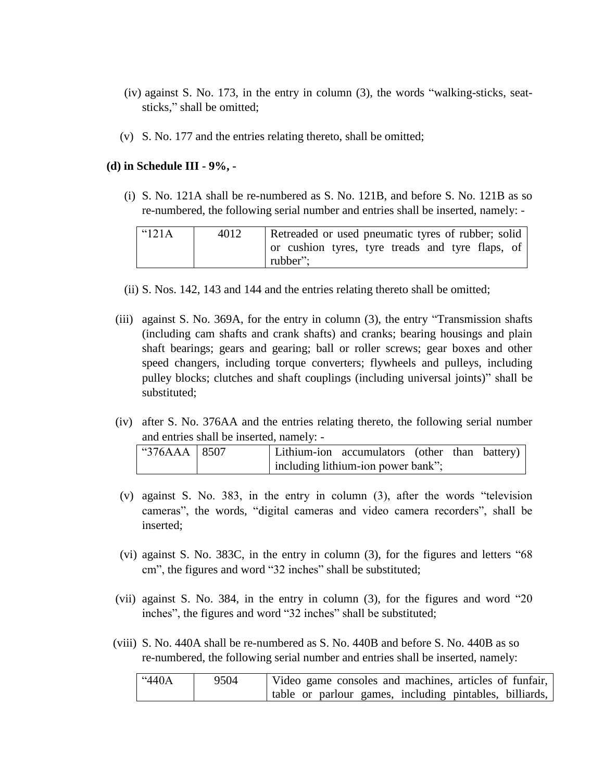- (iv) against S. No. 173, in the entry in column (3), the words "walking-sticks, seatsticks," shall be omitted;
- (v) S. No. 177 and the entries relating thereto, shall be omitted;

#### **(d) in Schedule III - 9%, -**

(i) S. No. 121A shall be re-numbered as S. No. 121B, and before S. No. 121B as so re-numbered, the following serial number and entries shall be inserted, namely: -

| 14121A | 4012 | Retreaded or used pneumatic tyres of rubber; solid           |
|--------|------|--------------------------------------------------------------|
|        |      | or cushion tyres, tyre treads and tyre flaps, of<br>rubber": |

- (ii) S. Nos. 142, 143 and 144 and the entries relating thereto shall be omitted;
- (iii) against S. No. 369A, for the entry in column (3), the entry "Transmission shafts (including cam shafts and crank shafts) and cranks; bearing housings and plain shaft bearings; gears and gearing; ball or roller screws; gear boxes and other speed changers, including torque converters; flywheels and pulleys, including pulley blocks; clutches and shaft couplings (including universal joints)" shall be substituted;
- (iv) after S. No. 376AA and the entries relating thereto, the following serial number and entries shall be inserted, namely: -

| $^{\circ}376AAA$ 8507 |  | Lithium-ion accumulators (other than battery) |  |  |
|-----------------------|--|-----------------------------------------------|--|--|
|                       |  | including lithium-ion power bank";            |  |  |

- (v) against S. No. 383, in the entry in column (3), after the words "television cameras", the words, "digital cameras and video camera recorders", shall be inserted;
- (vi) against S. No. 383C, in the entry in column (3), for the figures and letters "68 cm", the figures and word "32 inches" shall be substituted;
- (vii) against S. No. 384, in the entry in column (3), for the figures and word "20 inches", the figures and word "32 inches" shall be substituted;
- (viii) S. No. 440A shall be re-numbered as S. No. 440B and before S. No. 440B as so re-numbered, the following serial number and entries shall be inserted, namely:

| "440A | 9504 | Video game consoles and machines, articles of funfair,  |
|-------|------|---------------------------------------------------------|
|       |      | table or parlour games, including pintables, billiards, |